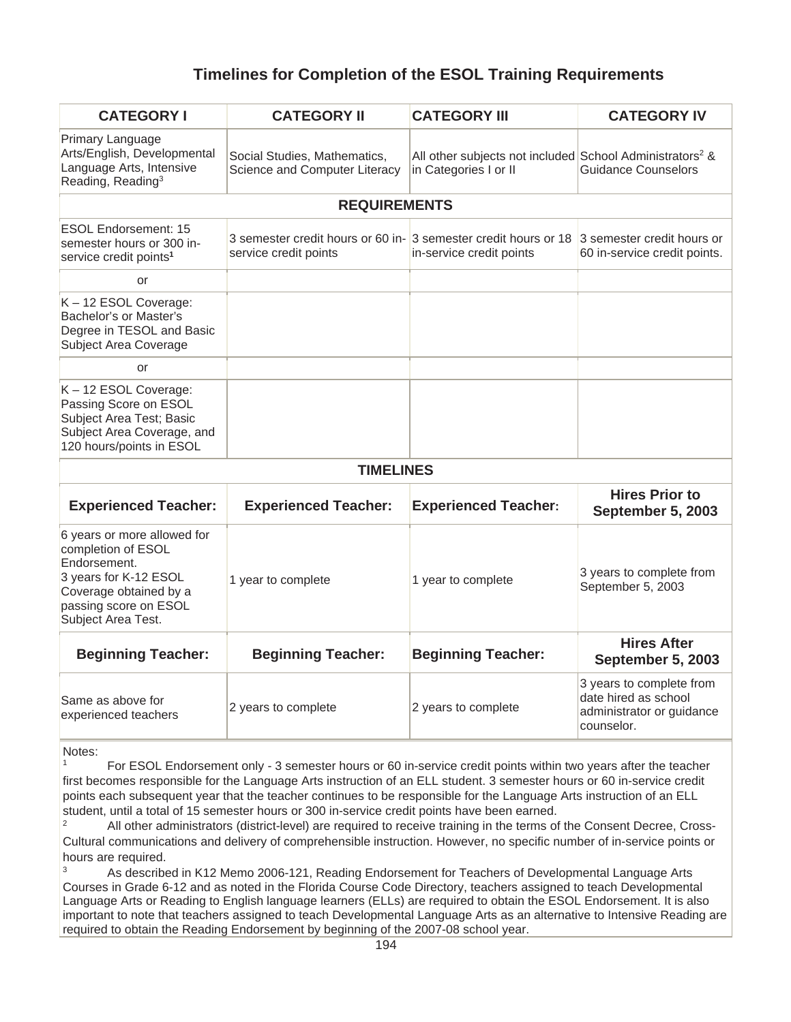## **Timelines for Completion of the ESOL Training Requirements**

| <b>CATEGORY I</b>                                                                                                                                                   | <b>CATEGORY II</b>                                                                                                  | <b>CATEGORY III</b>                                                                           | <b>CATEGORY IV</b>                                                                          |
|---------------------------------------------------------------------------------------------------------------------------------------------------------------------|---------------------------------------------------------------------------------------------------------------------|-----------------------------------------------------------------------------------------------|---------------------------------------------------------------------------------------------|
| Primary Language<br>Arts/English, Developmental<br>Language Arts, Intensive<br>Reading, Reading <sup>3</sup>                                                        | Social Studies, Mathematics,<br>Science and Computer Literacy                                                       | All other subjects not included School Administrators <sup>2</sup> &<br>in Categories I or II | <b>Guidance Counselors</b>                                                                  |
| <b>REQUIREMENTS</b>                                                                                                                                                 |                                                                                                                     |                                                                                               |                                                                                             |
| <b>ESOL Endorsement: 15</b><br>semester hours or 300 in-<br>service credit points <sup>1</sup>                                                                      | 3 semester credit hours or 60 in- 3 semester credit hours or 18 3 semester credit hours or<br>service credit points | in-service credit points                                                                      | 60 in-service credit points.                                                                |
| or                                                                                                                                                                  |                                                                                                                     |                                                                                               |                                                                                             |
| K-12 ESOL Coverage:<br>Bachelor's or Master's<br>Degree in TESOL and Basic<br>Subject Area Coverage                                                                 |                                                                                                                     |                                                                                               |                                                                                             |
| or                                                                                                                                                                  |                                                                                                                     |                                                                                               |                                                                                             |
| K-12 ESOL Coverage:<br>Passing Score on ESOL<br>Subject Area Test; Basic<br>Subject Area Coverage, and<br>120 hours/points in ESOL                                  |                                                                                                                     |                                                                                               |                                                                                             |
| <b>TIMELINES</b>                                                                                                                                                    |                                                                                                                     |                                                                                               |                                                                                             |
| <b>Experienced Teacher:</b>                                                                                                                                         | <b>Experienced Teacher:</b>                                                                                         | <b>Experienced Teacher:</b>                                                                   | <b>Hires Prior to</b><br>September 5, 2003                                                  |
| 6 years or more allowed for<br>completion of ESOL<br>Endorsement.<br>3 years for K-12 ESOL<br>Coverage obtained by a<br>passing score on ESOL<br>Subject Area Test. | 1 year to complete                                                                                                  | 1 year to complete                                                                            | 3 years to complete from<br>September 5, 2003                                               |
| <b>Beginning Teacher:</b>                                                                                                                                           | <b>Beginning Teacher:</b>                                                                                           | <b>Beginning Teacher:</b>                                                                     | <b>Hires After</b><br>September 5, 2003                                                     |
| Same as above for<br>experienced teachers                                                                                                                           | 2 years to complete                                                                                                 | 2 years to complete                                                                           | 3 years to complete from<br>date hired as school<br>administrator or guidance<br>counselor. |

Notes:

<sup>1</sup> For ESOL Endorsement only - 3 semester hours or 60 in-service credit points within two years after the teacher first becomes responsible for the Language Arts instruction of an ELL student. 3 semester hours or 60 in-service credit points each subsequent year that the teacher continues to be responsible for the Language Arts instruction of an ELL student, until a total of 15 semester hours or 300 in-service credit points have been earned.<br><sup>2</sup> All other administrators (district-level) are required to receive training in the terms of the Consent Decree, Cross-

Cultural communications and delivery of comprehensible instruction. However, no specific number of in-service points or hours are required.

<sup>3</sup> As described in K12 Memo 2006-121, Reading Endorsement for Teachers of Developmental Language Arts Courses in Grade 6-12 and as noted in the Florida Course Code Directory, teachers assigned to teach Developmental Language Arts or Reading to English language learners (ELLs) are required to obtain the ESOL Endorsement. It is also important to note that teachers assigned to teach Developmental Language Arts as an alternative to Intensive Reading are required to obtain the Reading Endorsement by beginning of the 2007-08 school year.